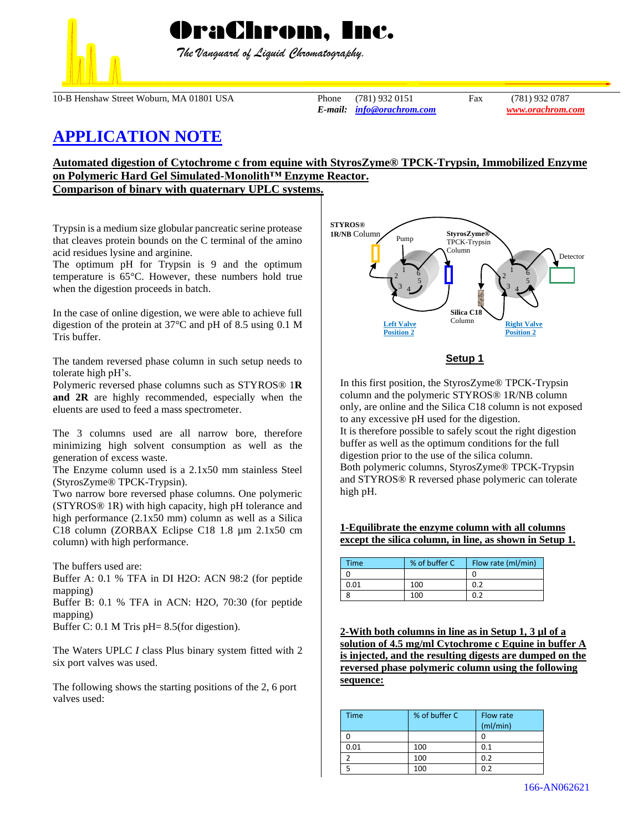

 *The Vanguard of Liquid Chromatography.*

10-B Henshaw Street Woburn, MA 01801 USA Phone (781) 932 0151 Fax (781) 932 0787

*E-mail: [info@orachrom.com](mailto:info@orachrom.com) www.orachrom.com*

# **APPLICATION NOTE**

# **Automated digestion of Cytochrome c from equine with StyrosZyme® TPCK-Trypsin, Immobilized Enzyme on Polymeric Hard Gel Simulated-Monolith™ Enzyme Reactor.**

**Comparison of binary with quaternary UPLC systems.** 

Trypsin is a medium size globular pancreatic serine protease that cleaves protein bounds on the C terminal of the amino acid residues lysine and arginine.

The optimum pH for Trypsin is 9 and the optimum temperature is 65°C. However, these numbers hold true when the digestion proceeds in batch.

In the case of online digestion, we were able to achieve full digestion of the protein at 37°C and pH of 8.5 using 0.1 M Tris buffer.

The tandem reversed phase column in such setup needs to tolerate high pH's.

Polymeric reversed phase columns such as STYROS® 1**R and 2R** are highly recommended, especially when the eluents are used to feed a mass spectrometer.

The 3 columns used are all narrow bore, therefore minimizing high solvent consumption as well as the generation of excess waste.

The Enzyme column used is a 2.1x50 mm stainless Steel (StyrosZyme® TPCK-Trypsin).

Two narrow bore reversed phase columns. One polymeric (STYROS® 1R) with high capacity, high pH tolerance and high performance (2.1x50 mm) column as well as a Silica C18 column (ZORBAX Eclipse C18 1.8 µm 2.1x50 cm column) with high performance.

The buffers used are:

Buffer A: 0.1 % TFA in DI H2O: ACN 98:2 (for peptide mapping)

Buffer B: 0.1 % TFA in ACN: H2O, 70:30 (for peptide mapping)

Buffer C: 0.1 M Tris pH= 8.5(for digestion).

The Waters UPLC *I* class Plus binary system fitted with 2 six port valves was used.

The following shows the starting positions of the 2, 6 port valves used:



## **Setup 1**

In this first position, the StyrosZyme® TPCK-Trypsin column and the polymeric STYROS® 1R/NB column only, are online and the Silica C18 column is not exposed to any excessive pH used for the digestion. It is therefore possible to safely scout the right digestion buffer as well as the optimum conditions for the full digestion prior to the use of the silica column. Both polymeric columns, StyrosZyme® TPCK-Trypsin and STYROS® R reversed phase polymeric can tolerate high pH.

### **1-Equilibrate the enzyme column with all columns except the silica column, in line, as shown in Setup 1.**

| Time | % of buffer C | Flow rate (ml/min) |
|------|---------------|--------------------|
|      |               |                    |
| 0.01 | 100           | 0.2                |
|      | 100           |                    |

**2-With both columns in line as in Setup 1, 3 µl of a solution of 4.5 mg/ml Cytochrome c Equine in buffer A is injected, and the resulting digests are dumped on the reversed phase polymeric column using the following sequence:**

| <b>Time</b> | % of buffer C | Flow rate<br>(mI/min) |
|-------------|---------------|-----------------------|
|             |               |                       |
| 0.01        | 100           | 0.1                   |
|             | 100           | 0.2                   |
|             | 100           | በ ን                   |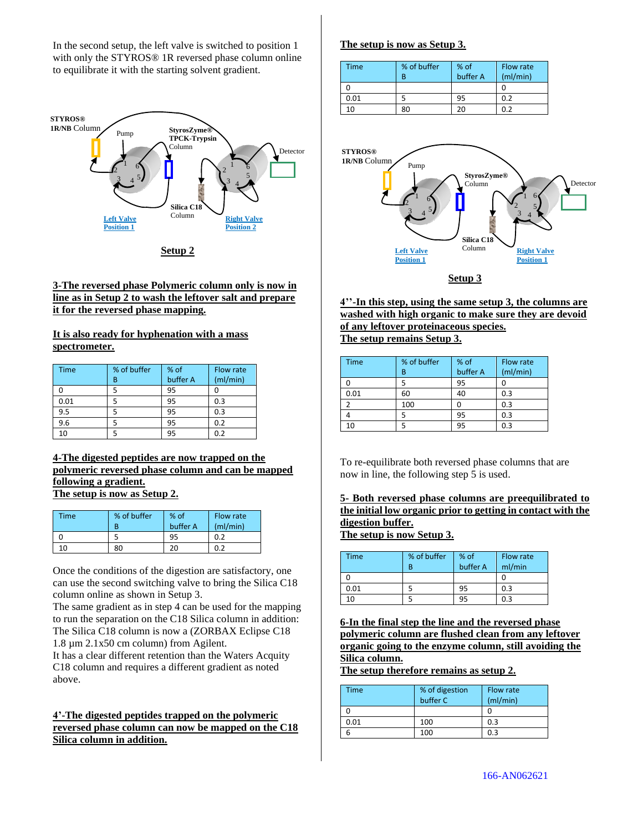In the second setup, the left valve is switched to position 1 with only the STYROS® 1R reversed phase column online to equilibrate it with the starting solvent gradient.



### **3-The reversed phase Polymeric column only is now in line as in Setup 2 to wash the leftover salt and prepare it for the reversed phase mapping.**

**It is also ready for hyphenation with a mass spectrometer.** 

| <b>Time</b> | % of buffer | % of     | Flow rate |
|-------------|-------------|----------|-----------|
|             | В           | buffer A | (mI/min)  |
|             |             | 95       |           |
| 0.01        |             | 95       | 0.3       |
| 9.5         |             | 95       | 0.3       |
| 9.6         |             | 95       | 0.2       |
| 10          |             | 95       | 0.2       |

### **4-The digested peptides are now trapped on the polymeric reversed phase column and can be mapped following a gradient. The setup is now as Setup 2.**

| Time | % of buffer<br>R | % of<br>buffer A | Flow rate<br>(mI/min) |
|------|------------------|------------------|-----------------------|
|      |                  | 95               | 0.2                   |
| 10   | 80               | 20               | 0.2                   |

Once the conditions of the digestion are satisfactory, one can use the second switching valve to bring the Silica C18 column online as shown in Setup 3.

The same gradient as in step 4 can be used for the mapping to run the separation on the C18 Silica column in addition: The Silica C18 column is now a (ZORBAX Eclipse C18 1.8 µm 2.1x50 cm column) from Agilent.

It has a clear different retention than the Waters Acquity C18 column and requires a different gradient as noted above.

## **4'-The digested peptides trapped on the polymeric reversed phase column can now be mapped on the C18 Silica column in addition.**

## **The setup is now as Setup 3.**

| Time | % of buffer<br>R | $%$ of<br>buffer A | Flow rate<br>(mI/min) |
|------|------------------|--------------------|-----------------------|
|      |                  |                    |                       |
| 0.01 |                  | 95                 | 0.2                   |
| 10   | 80               | 20                 | ሰ ን                   |



**4''-In this step, using the same setup 3, the columns are washed with high organic to make sure they are devoid of any leftover proteinaceous species. The setup remains Setup 3.**

| <b>Time</b> | % of buffer | % of<br>buffer A | Flow rate |
|-------------|-------------|------------------|-----------|
|             | В           |                  | (mI/min)  |
|             |             | 95               |           |
| 0.01        | 60          | 40               | 0.3       |
|             | 100         |                  | 0.3       |
|             | 5           | 95               | 0.3       |
|             |             | 95               | 0.3       |

To re-equilibrate both reversed phase columns that are now in line, the following step 5 is used.

# **5- Both reversed phase columns are preequilibrated to the initial low organic prior to getting in contact with the digestion buffer.**

**The setup is now Setup 3.**

| <b>Time</b> | % of buffer | $%$ of<br>buffer A | Flow rate<br>ml/min |
|-------------|-------------|--------------------|---------------------|
|             |             |                    |                     |
| 0.01        |             | 95                 | 0.3                 |
| 10          |             | 95                 | 0.3                 |

**6-In the final step the line and the reversed phase polymeric column are flushed clean from any leftover organic going to the enzyme column, still avoiding the Silica column.**

**The setup therefore remains as setup 2.**

| Time | % of digestion | <b>Flow rate</b> |
|------|----------------|------------------|
|      | buffer C       | (mI/min)         |
|      |                |                  |
| 0.01 | 100            | 0.3              |
|      | 100            | 0.3              |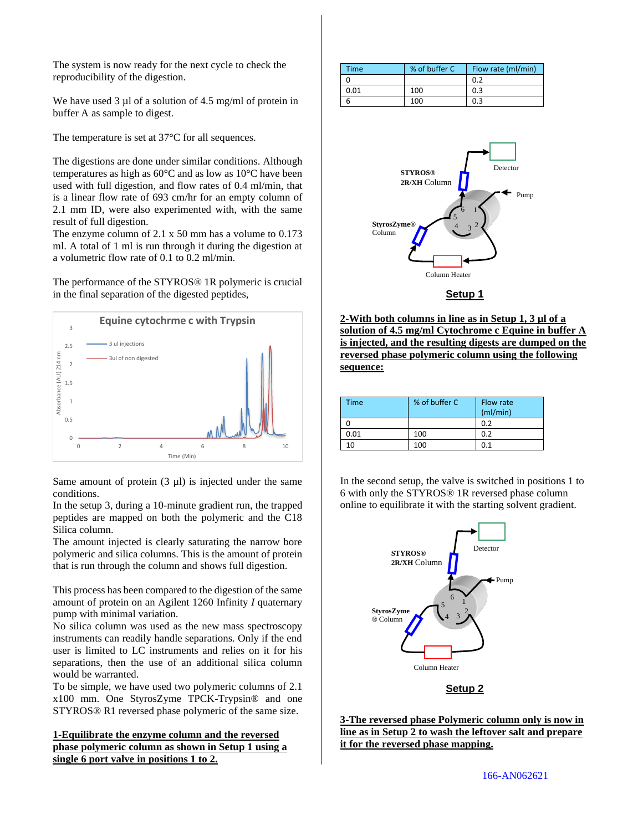The system is now ready for the next cycle to check the reproducibility of the digestion.

We have used 3 µl of a solution of 4.5 mg/ml of protein in buffer A as sample to digest.

The temperature is set at 37°C for all sequences.

The digestions are done under similar conditions. Although temperatures as high as 60°C and as low as 10°C have been used with full digestion, and flow rates of 0.4 ml/min, that is a linear flow rate of 693 cm/hr for an empty column of 2.1 mm ID, were also experimented with, with the same result of full digestion.

The enzyme column of 2.1 x 50 mm has a volume to 0.173 ml. A total of 1 ml is run through it during the digestion at a volumetric flow rate of 0.1 to 0.2 ml/min.

The performance of the STYROS® 1R polymeric is crucial in the final separation of the digested peptides,



Same amount of protein  $(3 \text{ µ})$  is injected under the same conditions.

In the setup 3, during a 10-minute gradient run, the trapped peptides are mapped on both the polymeric and the C18 Silica column.

The amount injected is clearly saturating the narrow bore polymeric and silica columns. This is the amount of protein that is run through the column and shows full digestion.

This process has been compared to the digestion of the same amount of protein on an Agilent 1260 Infinity *I* quaternary pump with minimal variation.

No silica column was used as the new mass spectroscopy instruments can readily handle separations. Only if the end user is limited to LC instruments and relies on it for his separations, then the use of an additional silica column would be warranted.

To be simple, we have used two polymeric columns of 2.1 x100 mm. One StyrosZyme TPCK-Trypsin® and one STYROS® R1 reversed phase polymeric of the same size.

# **1-Equilibrate the enzyme column and the reversed phase polymeric column as shown in Setup 1 using a single 6 port valve in positions 1 to 2.**

| Time | % of buffer C | Flow rate (ml/min) |
|------|---------------|--------------------|
|      |               | 0.2                |
| 0.01 | 100           | 0.3                |
|      | 100           | 0.3                |



**Setup 1**

**2-With both columns in line as in Setup 1, 3 µl of a solution of 4.5 mg/ml Cytochrome c Equine in buffer A is injected, and the resulting digests are dumped on the reversed phase polymeric column using the following sequence:**

| <b>Time</b> | % of buffer C | Flow rate<br>(mI/min) |
|-------------|---------------|-----------------------|
|             |               | 0.2                   |
| 0.01        | 100           | 0.2                   |
| n           | 100           | 0.1                   |

In the second setup, the valve is switched in positions 1 to 6 with only the STYROS® 1R reversed phase column online to equilibrate it with the starting solvent gradient.



## **Setup 2**

**3-The reversed phase Polymeric column only is now in line as in Setup 2 to wash the leftover salt and prepare it for the reversed phase mapping.**